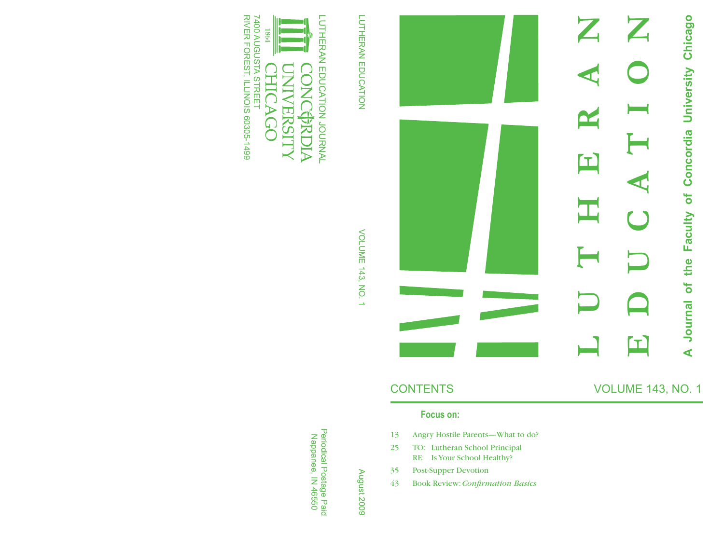## University Chicago **EDUCATION A Journal of the Faculty of Concordia University Chicago LUTHERAN** Concordia  $\blacksquare$  $\overline{\bullet}$ the Faculty  $\overline{\bullet}$ Journal Œ  $\blacktriangleleft$

### **Focus on:**

- 13 Angry Hostile Parents—What to do?
- 25 TO: Lutheran School Principal RE: Is Your School Healthy?
- 35 Post-Supper Devotion
- 43 Book Review: *Confirmation Basics*

LUTHERAN EDUCATION LUTHERAN EDUCATION



# **VOLUME 143, NO. 1** VOLUME 143, NO. 1

Periodical Postage Paid<br>Nappanee, IN 46550 Periodical Postage Paid Nappanee, IN 46550

August 2009 August 2009

CONTENTS VOLUME 143, NO. 1